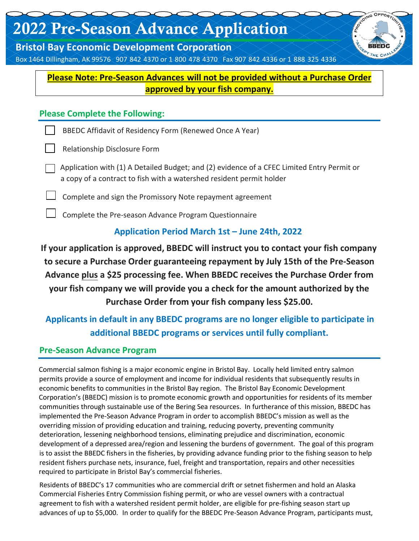# 2022 Pre-Season Advance Application

**Bristol Bay Economic Development Corporation** 

Box 1464 Dillingham, AK 99576 907 842 4370 or 1-800-478-4370 Fax 907-842-4336 or 1-888-325-4336

**Please Note: Pre-Season Advances will not be provided without a Purchase Order approved by your fish company.**

**DING OPPORT** 

#### **Please Complete the Following:**

BBEDC Affidavit of Residency Form (Renewed Once A Year)

Relationship Disclosure Form

Application with (1) A Detailed Budget; and (2) evidence of a CFEC Limited Entry Permit or a copy of a contract to fish with a watershed resident permit holder

Complete and sign the Promissory Note repayment agreement

Complete the Pre-season Advance Program Questionnaire

### **Application Period March 1st – June 24th, 2022**

**If your application is approved, BBEDC will instruct you to contact your fish company to secure a Purchase Order guaranteeing repayment by July 15th of the Pre-Season Advance plus a \$25 processing fee. When BBEDC receives the Purchase Order from your fish company we will provide you a check for the amount authorized by the Purchase Order from your fish company less \$25.00.** 

## **Applicants in default in any BBEDC programs are no longer eligible to participate in additional BBEDC programs or services until fully compliant.**

#### **Pre‐Season Advance Program**

Commercial salmon fishing is a major economic engine in Bristol Bay. Locally held limited entry salmon permits provide a source of employment and income for individual residents that subsequently results in economic benefits to communities in the Bristol Bay region. The Bristol Bay Economic Development Corporation's (BBEDC) mission is to promote economic growth and opportunities for residents of its member communities through sustainable use of the Bering Sea resources. In furtherance of this mission, BBEDC has implemented the Pre‐Season Advance Program in order to accomplish BBEDC's mission as well as the overriding mission of providing education and training, reducing poverty, preventing community deterioration, lessening neighborhood tensions, eliminating prejudice and discrimination, economic development of a depressed area/region and lessening the burdens of government. The goal of this program is to assist the BBEDC fishers in the fisheries, by providing advance funding prior to the fishing season to help resident fishers purchase nets, insurance, fuel, freight and transportation, repairs and other necessities required to participate in Bristol Bay's commercial fisheries.

Residents of BBEDC's 17 communities who are commercial drift or setnet fishermen and hold an Alaska Commercial Fisheries Entry Commission fishing permit, or who are vessel owners with a contractual agreement to fish with a watershed resident permit holder, are eligible for pre‐fishing season start up advances of up to \$5,000. In order to qualify for the BBEDC Pre‐Season Advance Program, participants must,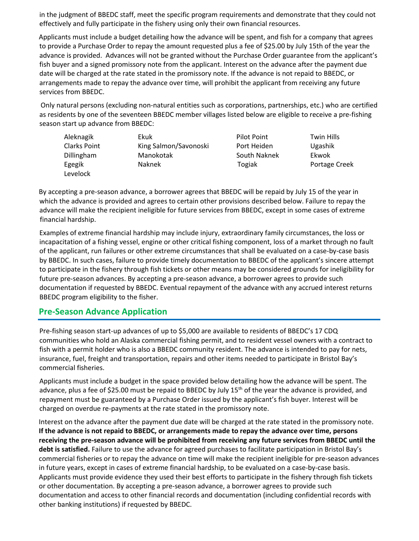in the judgment of BBEDC staff, meet the specific program requirements and demonstrate that they could not effectively and fully participate in the fishery using only their own financial resources.

Applicants must include a budget detailing how the advance will be spent, and fish for a company that agrees to provide a Purchase Order to repay the amount requested plus a fee of \$25.00 by July 15th of the year the advance is provided. Advances will not be granted without the Purchase Order guarantee from the applicant's fish buyer and a signed promissory note from the applicant. Interest on the advance after the payment due date will be charged at the rate stated in the promissory note. If the advance is not repaid to BBEDC, or arrangements made to repay the advance over time, will prohibit the applicant from receiving any future services from BBEDC.

Only natural persons (excluding non‐natural entities such as corporations, partnerships, etc.) who are certified as residents by one of the seventeen BBEDC member villages listed below are eligible to receive a pre‐fishing season start up advance from BBEDC:

| Aleknagik          | Ekuk                  | Pilot Point  | <b>Twin Hills</b> |
|--------------------|-----------------------|--------------|-------------------|
| Clarks Point       | King Salmon/Savonoski | Port Heiden  | Ugashik           |
| <b>Dillingham</b>  | Manokotak             | South Naknek | Ekwok             |
| Egegik<br>Levelock | <b>Naknek</b>         | Togiak       | Portage Creek     |

By accepting a pre‐season advance, a borrower agrees that BBEDC will be repaid by July 15 of the year in which the advance is provided and agrees to certain other provisions described below. Failure to repay the advance will make the recipient ineligible for future services from BBEDC, except in some cases of extreme financial hardship.

Examples of extreme financial hardship may include injury, extraordinary family circumstances, the loss or incapacitation of a fishing vessel, engine or other critical fishing component, loss of a market through no fault of the applicant, run failures or other extreme circumstances that shall be evaluated on a case‐by‐case basis by BBEDC. In such cases, failure to provide timely documentation to BBEDC of the applicant's sincere attempt to participate in the fishery through fish tickets or other means may be considered grounds for ineligibility for future pre‐season advances. By accepting a pre‐season advance, a borrower agrees to provide such documentation if requested by BBEDC. Eventual repayment of the advance with any accrued interest returns BBEDC program eligibility to the fisher.

#### **Pre‐Season Advance Application**

Pre‐fishing season start‐up advances of up to \$5,000 are available to residents of BBEDC's 17 CDQ communities who hold an Alaska commercial fishing permit, and to resident vessel owners with a contract to fish with a permit holder who is also a BBEDC community resident. The advance is intended to pay for nets, insurance, fuel, freight and transportation, repairs and other items needed to participate in Bristol Bay's commercial fisheries.

Applicants must include a budget in the space provided below detailing how the advance will be spent. The advance, plus a fee of \$25.00 must be repaid to BBEDC by July 15<sup>th</sup> of the year the advance is provided, and repayment must be guaranteed by a Purchase Order issued by the applicant's fish buyer. Interest will be charged on overdue re‐payments at the rate stated in the promissory note.

Interest on the advance after the payment due date will be charged at the rate stated in the promissory note. **If the advance is not repaid to BBEDC, or arrangements made to repay the advance over time, persons receiving the pre-season advance will be prohibited from receiving any future services from BBEDC until the debt is satisfied.** Failure to use the advance for agreed purchases to facilitate participation in Bristol Bay's commercial fisheries or to repay the advance on time will make the recipient ineligible for pre‐season advances in future years, except in cases of extreme financial hardship, to be evaluated on a case-by-case basis. Applicants must provide evidence they used their best efforts to participate in the fishery through fish tickets or other documentation. By accepting a pre‐season advance, a borrower agrees to provide such documentation and access to other financial records and documentation (including confidential records with other banking institutions) if requested by BBEDC.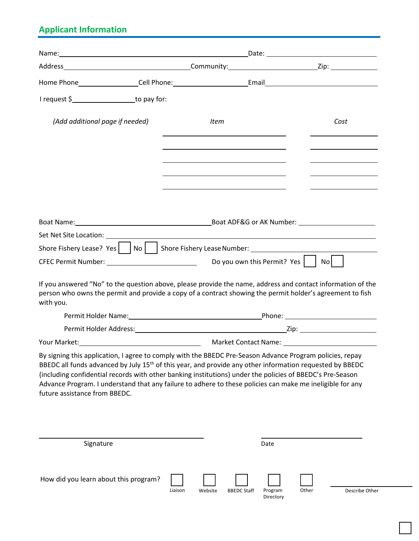# **Applicant Information**

| I request \$_____________________to pay for:                                                                                                                                                                                                                                                                                                                                                                                                                                                |         |                                                                                                                      |                    |                      |                         |
|---------------------------------------------------------------------------------------------------------------------------------------------------------------------------------------------------------------------------------------------------------------------------------------------------------------------------------------------------------------------------------------------------------------------------------------------------------------------------------------------|---------|----------------------------------------------------------------------------------------------------------------------|--------------------|----------------------|-------------------------|
| (Add additional page if needed)                                                                                                                                                                                                                                                                                                                                                                                                                                                             |         | Item                                                                                                                 |                    |                      | Cost                    |
|                                                                                                                                                                                                                                                                                                                                                                                                                                                                                             |         |                                                                                                                      |                    |                      |                         |
|                                                                                                                                                                                                                                                                                                                                                                                                                                                                                             |         |                                                                                                                      |                    |                      |                         |
|                                                                                                                                                                                                                                                                                                                                                                                                                                                                                             |         |                                                                                                                      |                    |                      |                         |
| Boat Name: 1990 120 March 2014 10: 2014 10: 2014 10: 2014 10: 2014 10: 2014 10: 2014 10: 2014 10: 2014 10: 201                                                                                                                                                                                                                                                                                                                                                                              |         |                                                                                                                      |                    |                      |                         |
|                                                                                                                                                                                                                                                                                                                                                                                                                                                                                             |         | <u> 1980 - Johann Barn, mars ann an t-Amhain Aonaich an t-Aonaich an t-Aonaich ann an t-Aonaich ann an t-Aonaich</u> |                    |                      |                         |
| Shore Fishery Lease? Yes     No     Shore Fishery Lease Number: ________________                                                                                                                                                                                                                                                                                                                                                                                                            |         |                                                                                                                      |                    |                      |                         |
|                                                                                                                                                                                                                                                                                                                                                                                                                                                                                             |         |                                                                                                                      |                    |                      | No l                    |
| If you answered "No" to the question above, please provide the name, address and contact information of the<br>person who owns the permit and provide a copy of a contract showing the permit holder's agreement to fish<br>with you.                                                                                                                                                                                                                                                       |         |                                                                                                                      |                    |                      |                         |
|                                                                                                                                                                                                                                                                                                                                                                                                                                                                                             |         |                                                                                                                      |                    |                      |                         |
|                                                                                                                                                                                                                                                                                                                                                                                                                                                                                             |         |                                                                                                                      |                    |                      |                         |
|                                                                                                                                                                                                                                                                                                                                                                                                                                                                                             |         |                                                                                                                      |                    |                      |                         |
| By signing this application, I agree to comply with the BBEDC Pre-Season Advance Program policies, repay<br>BBEDC all funds advanced by July 15 <sup>th</sup> of this year, and provide any other information requested by BBEDC<br>(including confidential records with other banking institutions) under the policies of BBEDC's Pre-Season<br>Advance Program. I understand that any failure to adhere to these policies can make me ineligible for any<br>future assistance from BBEDC. |         |                                                                                                                      |                    |                      |                         |
|                                                                                                                                                                                                                                                                                                                                                                                                                                                                                             |         |                                                                                                                      |                    |                      |                         |
| Signature                                                                                                                                                                                                                                                                                                                                                                                                                                                                                   |         |                                                                                                                      |                    | Date                 |                         |
| How did you learn about this program?                                                                                                                                                                                                                                                                                                                                                                                                                                                       | Liaison | Website                                                                                                              | <b>BBEDC Staff</b> | Program<br>Directory | Other<br>Describe Other |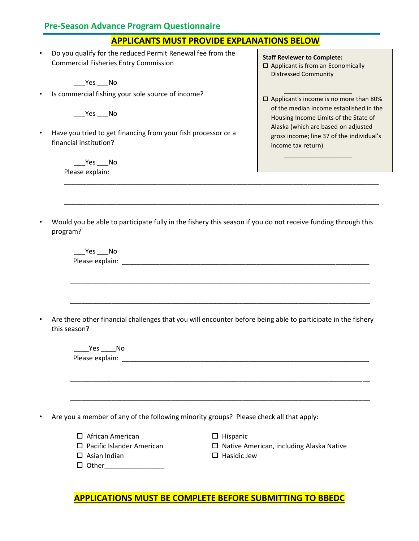#### **Pre-Season Advance Program Questionnaire**

#### **APPLICANTS MUST PROVIDE EXPLANATIONS BELOW**

• Do you qualify for the reduced Permit Renewal fee from the Commercial Fisheries Entry Commission

\_\_\_Yes \_\_\_No

• Is commercial fishing your sole source of income?

Yes No

• Have you tried to get financing from your fish processor or a financial institution?

> Yes No Please explain:

**Staff Reviewer to Complete:** 

□ Applicant is from an Economically Distressed Community

\_\_\_\_\_\_\_\_\_\_\_\_\_\_\_\_\_\_\_\_

 $\Box$  Applicant's income is no more than 80% of the median income established in the Housing Income Limits of the State of Alaska (which are based on adjusted gross income; line 37 of the individual's income tax return)

\_\_\_\_\_\_\_\_\_\_\_\_\_\_\_\_\_\_\_\_

• Would you be able to participate fully in the fishery this season if you do not receive funding through this program?

\_\_\_\_\_\_\_\_\_\_\_\_\_\_\_\_\_\_\_\_\_\_\_\_\_\_\_\_\_\_\_\_\_\_\_\_\_\_\_\_\_\_\_\_\_\_\_\_\_\_\_\_\_\_\_\_\_\_\_\_\_\_\_\_\_\_\_\_\_\_\_\_\_\_\_\_\_\_\_\_\_\_\_\_

\_\_\_\_\_\_\_\_\_\_\_\_\_\_\_\_\_\_\_\_\_\_\_\_\_\_\_\_\_\_\_\_\_\_\_\_\_\_\_\_\_\_\_\_\_\_\_\_\_\_\_\_\_\_\_\_\_\_\_\_\_\_\_\_\_\_\_\_\_\_\_\_\_\_\_\_\_\_\_\_\_\_\_\_

| Yes No                              |                                                                                                              |
|-------------------------------------|--------------------------------------------------------------------------------------------------------------|
|                                     |                                                                                                              |
| this season?                        | Are there other financial challenges that you will encounter before being able to participate in the fishery |
| Yes No                              |                                                                                                              |
|                                     |                                                                                                              |
|                                     |                                                                                                              |
|                                     |                                                                                                              |
|                                     | Are you a member of any of the following minority groups? Please check all that apply:                       |
| $\Box$ African American             | $\Box$ Hispanic                                                                                              |
| $\square$ Pacific Islander American | $\Box$ Native American, including Alaska Native                                                              |
| $\Box$ Asian Indian                 | $\Box$ Hasidic Jew                                                                                           |

**APPLICATIONS MUST BE COMPLETE BEFORE SUBMITTING TO BBEDC**